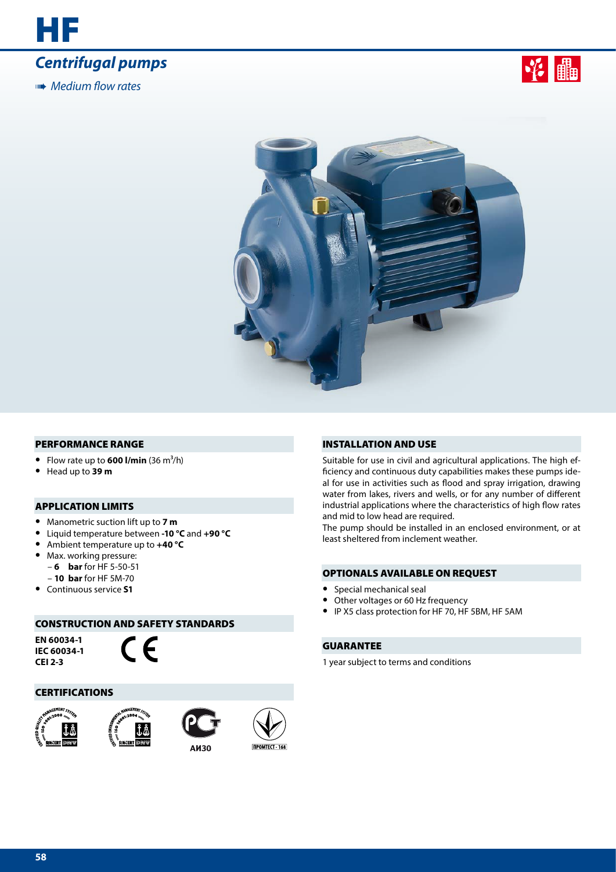





### PERFORMANCE RANGE

- Flow rate up to  $600$  I/min  $(36 \text{ m}^3/\text{h})$
- **•** Head up to **39 m**

## APPLICATION LIMITS

- **•** Manometric suction lift up to **7 m**
- **•** Liquid temperature between **-10 °C** and **+90 °C**
- **•** Ambient temperature up to **+40 °C**
	- **•** Max. working pressure:
	- **6 bar** for HF 5-50-51
- **10 bar** for HF 5M-70
- **•** Continuous service **S1**

## CONSTRUCTION AND SAFETY STANDARDS

**EN 60034-1 IEC 60034-1 CEI 2-3**



## CERTIFICATIONS









### INSTALLATION AND USE

Suitable for use in civil and agricultural applications. The high efficiency and continuous duty capabilities makes these pumps ideal for use in activities such as flood and spray irrigation, drawing water from lakes, rivers and wells, or for any number of different industrial applications where the characteristics of high flow rates and mid to low head are required.

The pump should be installed in an enclosed environment, or at least sheltered from inclement weather.

## OPTIONALS AVAILABLE ON REQUEST

- **•** Special mechanical seal
- **•** Other voltages or 60 Hz frequency
- **•** IP X5 class protection for HF 70, HF 5BM, HF 5AM

## GUARANTEE

1 year subject to terms and conditions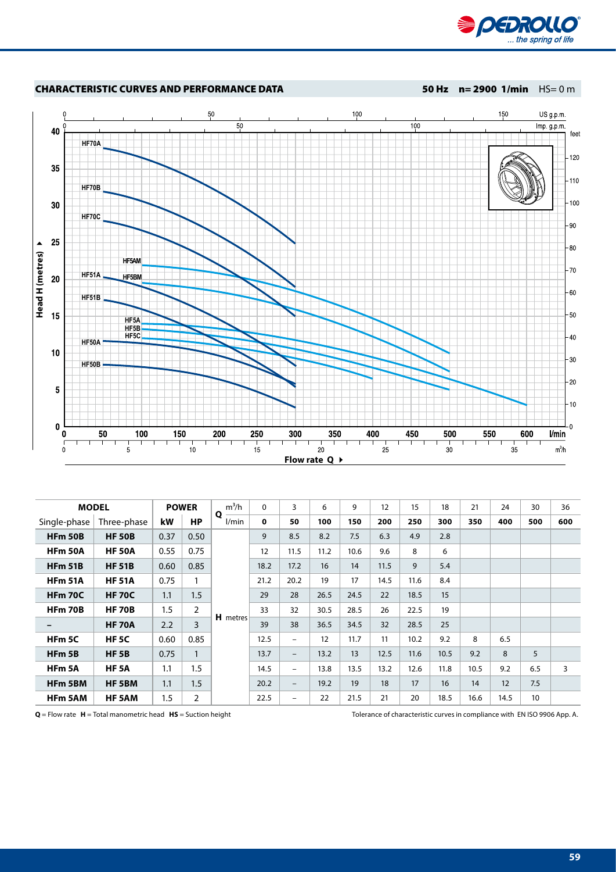



|                   | <b>MODEL</b>  |         | <b>POWER</b>   | $m^3/h$    | $\Omega$    | 3                        | 6    | 9    | 12   | 15   | 18   | 21   | 24   | 30  | 36  |
|-------------------|---------------|---------|----------------|------------|-------------|--------------------------|------|------|------|------|------|------|------|-----|-----|
| Single-phase      | Three-phase   | kW      | <b>HP</b>      | Q<br>l/min | $\mathbf 0$ | 50                       | 100  | 150  | 200  | 250  | 300  | 350  | 400  | 500 | 600 |
| <b>HFm 50B</b>    | <b>HF 50B</b> | 0.37    | 0.50           |            | 9           | 8.5                      | 8.2  | 7.5  | 6.3  | 4.9  | 2.8  |      |      |     |     |
| <b>HFm 50A</b>    | <b>HF 50A</b> | 0.55    | 0.75           |            | 12          | 11.5                     | 11.2 | 10.6 | 9.6  | 8    | 6    |      |      |     |     |
| <b>HFm 51B</b>    | <b>HF 51B</b> | 0.60    | 0.85           |            | 18.2        | 17.2                     | 16   | 14   | 11.5 | 9    | 5.4  |      |      |     |     |
| <b>HFm 51A</b>    | <b>HF 51A</b> | 0.75    | 1              |            | 21.2        | 20.2                     | 19   | 17   | 14.5 | 11.6 | 8.4  |      |      |     |     |
| <b>HFm 70C</b>    | <b>HF 70C</b> | 1.1     | 1.5            |            | 29          | 28                       | 26.5 | 24.5 | 22   | 18.5 | 15   |      |      |     |     |
| HFm 70B           | <b>HF 70B</b> | 1.5     | $\overline{2}$ |            | 33          | 32                       | 30.5 | 28.5 | 26   | 22.5 | 19   |      |      |     |     |
| -                 | <b>HF 70A</b> | 2.2     | 3              | H metres   | 39          | 38                       | 36.5 | 34.5 | 32   | 28.5 | 25   |      |      |     |     |
| HFm <sub>5C</sub> | HF 5C         | 0.60    | 0.85           |            | 12.5        | $\overline{\phantom{0}}$ | 12   | 11.7 | 11   | 10.2 | 9.2  | 8    | 6.5  |     |     |
| HFm <sub>5B</sub> | <b>HF 5B</b>  | 0.75    | $\mathbf{1}$   |            | 13.7        | $\qquad \qquad -$        | 13.2 | 13   | 12.5 | 11.6 | 10.5 | 9.2  | 8    | 5   |     |
| HFm 5A            | <b>HF 5A</b>  | 1.1     | 1.5            |            | 14.5        | $\overline{\phantom{0}}$ | 13.8 | 13.5 | 13.2 | 12.6 | 11.8 | 10.5 | 9.2  | 6.5 | 3   |
| HFm 5BM           | HF 5BM        | 1.1     | 1.5            |            | 20.2        | $\qquad \qquad -$        | 19.2 | 19   | 18   | 17   | 16   | 14   | 12   | 7.5 |     |
| <b>HFm 5AM</b>    | HF 5AM        | $1.5\,$ | $\overline{2}$ |            | 22.5        | $\overline{\phantom{m}}$ | 22   | 21.5 | 21   | 20   | 18.5 | 16.6 | 14.5 | 10  |     |

**Q** = Flow rate **H** = Total manometric head **HS** = Suction height Tolerance of characteristic curves in compliance with EN ISO 9906 App. A.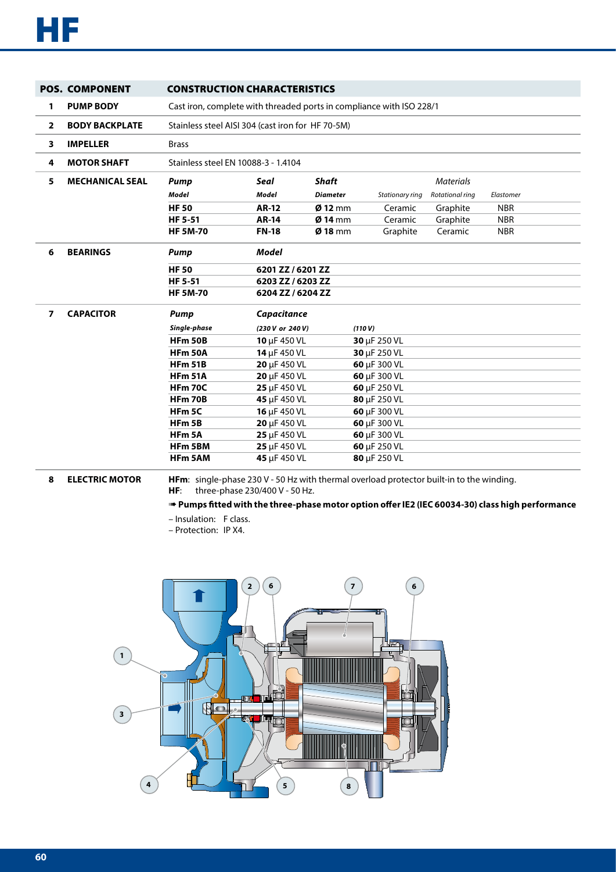|                | <b>POS. COMPONENT</b>  | <b>CONSTRUCTION CHARACTERISTICS</b> |                                                                      |                 |                   |                  |            |  |  |  |  |  |  |
|----------------|------------------------|-------------------------------------|----------------------------------------------------------------------|-----------------|-------------------|------------------|------------|--|--|--|--|--|--|
| 1              | <b>PUMP BODY</b>       |                                     | Cast iron, complete with threaded ports in compliance with ISO 228/1 |                 |                   |                  |            |  |  |  |  |  |  |
| $\overline{2}$ | <b>BODY BACKPLATE</b>  |                                     | Stainless steel AISI 304 (cast iron for HF 70-5M)                    |                 |                   |                  |            |  |  |  |  |  |  |
| 3              | <b>IMPELLER</b>        | <b>Brass</b>                        |                                                                      |                 |                   |                  |            |  |  |  |  |  |  |
| 4              | <b>MOTOR SHAFT</b>     | Stainless steel EN 10088-3 - 1.4104 |                                                                      |                 |                   |                  |            |  |  |  |  |  |  |
| 5.             | <b>MECHANICAL SEAL</b> | <b>Pump</b>                         | Seal                                                                 | <b>Shaft</b>    |                   | <b>Materials</b> |            |  |  |  |  |  |  |
|                |                        | <b>Model</b>                        | Model                                                                | <b>Diameter</b> | Stationary ring   | Rotational ring  | Elastomer  |  |  |  |  |  |  |
|                |                        | <b>HF 50</b>                        | <b>AR-12</b>                                                         | $Ø$ 12 mm       | Ceramic           | Graphite         | <b>NBR</b> |  |  |  |  |  |  |
|                |                        | <b>HF 5-51</b>                      | <b>AR-14</b>                                                         | $Ø$ 14 mm       | Ceramic           | Graphite         | <b>NBR</b> |  |  |  |  |  |  |
|                |                        | <b>HF 5M-70</b>                     | <b>FN-18</b>                                                         | $Ø$ 18 mm       | Graphite          | Ceramic          | <b>NBR</b> |  |  |  |  |  |  |
| 6              | <b>BEARINGS</b>        | <b>Pump</b>                         | <b>Model</b>                                                         |                 |                   |                  |            |  |  |  |  |  |  |
|                |                        | <b>HF 50</b>                        | 6201 ZZ / 6201 ZZ                                                    |                 |                   |                  |            |  |  |  |  |  |  |
|                |                        | <b>HF 5-51</b>                      | 6203 ZZ / 6203 ZZ                                                    |                 |                   |                  |            |  |  |  |  |  |  |
|                |                        | <b>HF 5M-70</b>                     | 6204 ZZ / 6204 ZZ                                                    |                 |                   |                  |            |  |  |  |  |  |  |
| $\overline{ }$ | <b>CAPACITOR</b>       | Pump                                | Capacitance                                                          |                 |                   |                  |            |  |  |  |  |  |  |
|                |                        | Single-phase                        | (230 V or 240 V)                                                     |                 | (110 V)           |                  |            |  |  |  |  |  |  |
|                |                        | <b>HFm 50B</b>                      | 10 µF 450 VL                                                         |                 | 30 $\mu$ F 250 VL |                  |            |  |  |  |  |  |  |
|                |                        | <b>HFm 50A</b>                      | 14 µF 450 VL                                                         |                 | 30 µF 250 VL      |                  |            |  |  |  |  |  |  |
|                |                        | <b>HFm 51B</b>                      | 20 µF 450 VL                                                         |                 | 60 µF 300 VL      |                  |            |  |  |  |  |  |  |
|                |                        | <b>HFm 51A</b>                      | 20 µF 450 VL                                                         |                 | 60 µF 300 VL      |                  |            |  |  |  |  |  |  |
|                |                        | <b>HFm 70C</b>                      | 25 µF 450 VL                                                         |                 | 60 µF 250 VL      |                  |            |  |  |  |  |  |  |
|                |                        | <b>HFm 70B</b>                      | 45 µF 450 VL                                                         |                 | 80 µF 250 VL      |                  |            |  |  |  |  |  |  |
|                |                        | HFm <sub>5C</sub>                   | 16 µF 450 VL                                                         |                 | 60 µF 300 VL      |                  |            |  |  |  |  |  |  |
|                |                        | HFm 5B                              | 20 µF 450 VL                                                         |                 | 60 µF 300 VL      |                  |            |  |  |  |  |  |  |
|                |                        | HFm <sub>5A</sub>                   | 25 µF 450 VL                                                         |                 | 60 µF 300 VL      |                  |            |  |  |  |  |  |  |
|                |                        | HFm 5BM                             | 25 µF 450 VL                                                         |                 | 60 µF 250 VL      |                  |            |  |  |  |  |  |  |
|                |                        | <b>HFm 5AM</b>                      | 45 µF 450 VL                                                         |                 | 80 µF 250 VL      |                  |            |  |  |  |  |  |  |

**8 ELECTRIC MOTOR HFm**: single-phase 230 V - 50 Hz with thermal overload protector built-in to the winding. **HF**: three-phase 230/400 V - 50 Hz.

## ➠ **Pumps fitted with the three-phase motor option offer IE2 (IEC 60034-30) class high performance**

- Insulation: F class.
- Protection: IP X4.